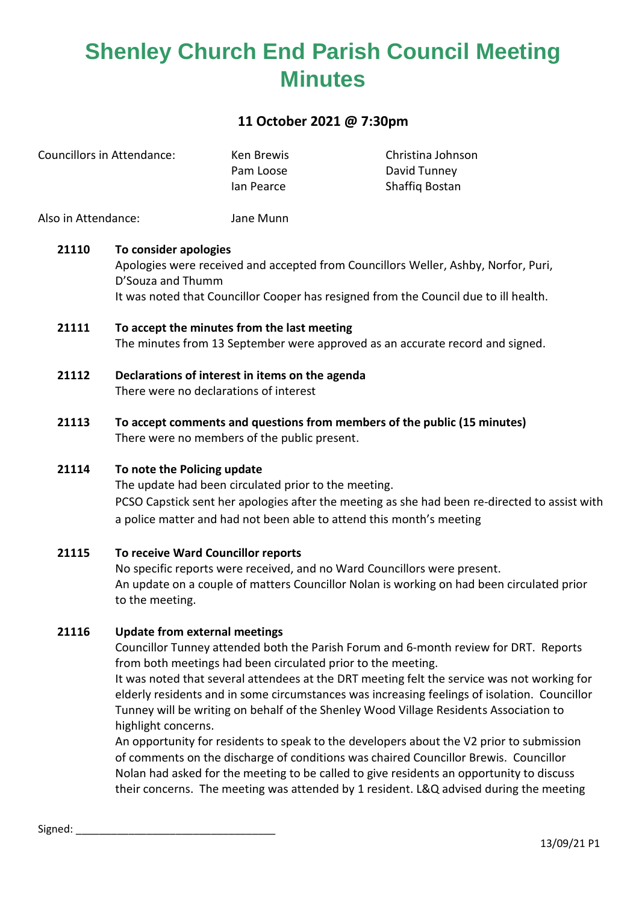### **11 October 2021 @ 7:30pm**

| Councillors in Attendance: | Ken Brewis | Christina Johnson |
|----------------------------|------------|-------------------|
|                            | Pam Loose  | David Tunney      |
|                            | lan Pearce | Shaffig Bostan    |
|                            |            |                   |

Also in Attendance: Jane Munn

#### **21110 To consider apologies**

Apologies were received and accepted from Councillors Weller, Ashby, Norfor, Puri, D'Souza and Thumm It was noted that Councillor Cooper has resigned from the Council due to ill health.

- **21111 To accept the minutes from the last meeting** The minutes from 13 September were approved as an accurate record and signed.
- **21112 Declarations of interest in items on the agenda** There were no declarations of interest
- **21113 To accept comments and questions from members of the public (15 minutes)** There were no members of the public present.

### **21114 To note the Policing update**

The update had been circulated prior to the meeting. PCSO Capstick sent her apologies after the meeting as she had been re-directed to assist with a police matter and had not been able to attend this month's meeting

**21115 To receive Ward Councillor reports** No specific reports were received, and no Ward Councillors were present. An update on a couple of matters Councillor Nolan is working on had been circulated prior to the meeting.

#### **21116 Update from external meetings**

Councillor Tunney attended both the Parish Forum and 6-month review for DRT. Reports from both meetings had been circulated prior to the meeting.

It was noted that several attendees at the DRT meeting felt the service was not working for elderly residents and in some circumstances was increasing feelings of isolation. Councillor Tunney will be writing on behalf of the Shenley Wood Village Residents Association to highlight concerns.

An opportunity for residents to speak to the developers about the V2 prior to submission of comments on the discharge of conditions was chaired Councillor Brewis. Councillor Nolan had asked for the meeting to be called to give residents an opportunity to discuss their concerns. The meeting was attended by 1 resident. L&Q advised during the meeting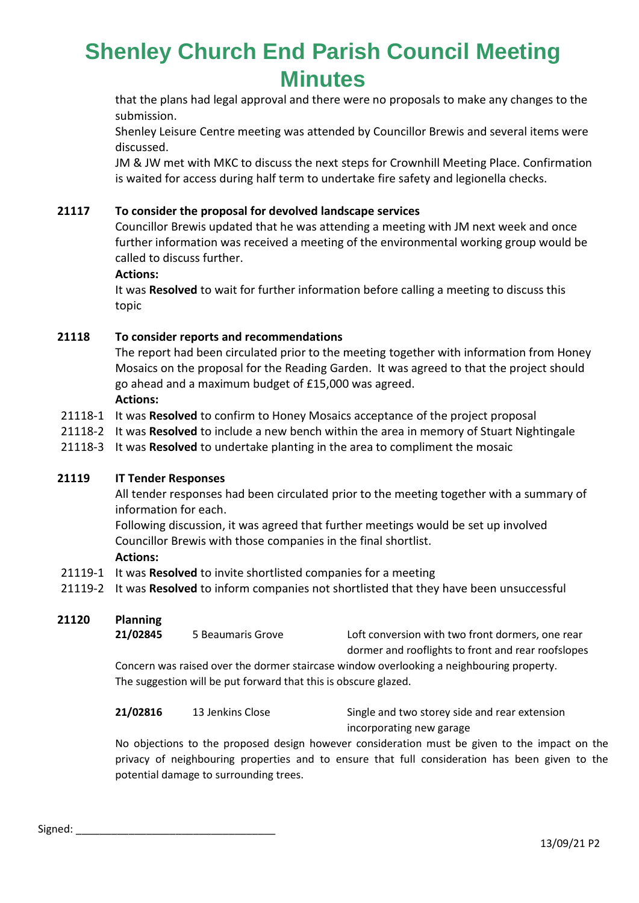that the plans had legal approval and there were no proposals to make any changes to the submission.

Shenley Leisure Centre meeting was attended by Councillor Brewis and several items were discussed.

JM & JW met with MKC to discuss the next steps for Crownhill Meeting Place. Confirmation is waited for access during half term to undertake fire safety and legionella checks.

#### **21117 To consider the proposal for devolved landscape services**

Councillor Brewis updated that he was attending a meeting with JM next week and once further information was received a meeting of the environmental working group would be called to discuss further.

#### **Actions:**

It was **Resolved** to wait for further information before calling a meeting to discuss this topic

#### **21118 To consider reports and recommendations**

The report had been circulated prior to the meeting together with information from Honey Mosaics on the proposal for the Reading Garden. It was agreed to that the project should go ahead and a maximum budget of £15,000 was agreed. **Actions:**

- 21118-1 It was **Resolved** to confirm to Honey Mosaics acceptance of the project proposal
- 21118-2 It was **Resolved** to include a new bench within the area in memory of Stuart Nightingale
- 21118-3 It was **Resolved** to undertake planting in the area to compliment the mosaic

#### **21119 IT Tender Responses**

All tender responses had been circulated prior to the meeting together with a summary of information for each.

Following discussion, it was agreed that further meetings would be set up involved Councillor Brewis with those companies in the final shortlist. **Actions:**

- 21119-1 It was **Resolved** to invite shortlisted companies for a meeting
- 21119-2 It was **Resolved** to inform companies not shortlisted that they have been unsuccessful

#### **21120 Planning**

**21/02845** 5 Beaumaris Grove Loft conversion with two front dormers, one rear dormer and rooflights to front and rear roofslopes Concern was raised over the dormer staircase window overlooking a neighbouring property.

The suggestion will be put forward that this is obscure glazed.

**21/02816** 13 Jenkins Close Single and two storey side and rear extension incorporating new garage

No objections to the proposed design however consideration must be given to the impact on the privacy of neighbouring properties and to ensure that full consideration has been given to the potential damage to surrounding trees.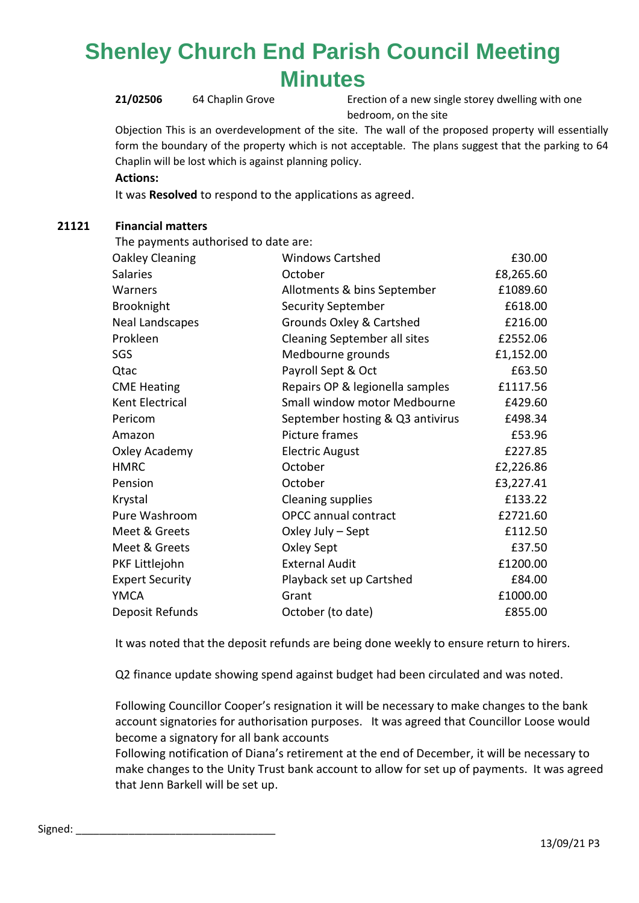**21/02506** 64 Chaplin Grove Erection of a new single storey dwelling with one bedroom, on the site

Objection This is an overdevelopment of the site. The wall of the proposed property will essentially form the boundary of the property which is not acceptable. The plans suggest that the parking to 64 Chaplin will be lost which is against planning policy.

**Actions:**

It was **Resolved** to respond to the applications as agreed.

### **21121 Financial matters**

The payments authorised to date are:

| Oakley Cleaning        | <b>Windows Cartshed</b>             | £30.00    |
|------------------------|-------------------------------------|-----------|
| <b>Salaries</b>        | October                             | £8,265.60 |
| Warners                | Allotments & bins September         | £1089.60  |
| Brooknight             | <b>Security September</b>           | £618.00   |
| <b>Neal Landscapes</b> | <b>Grounds Oxley &amp; Cartshed</b> | £216.00   |
| Prokleen               | <b>Cleaning September all sites</b> | £2552.06  |
| SGS                    | Medbourne grounds                   | £1,152.00 |
| Qtac                   | Payroll Sept & Oct                  | £63.50    |
| <b>CME Heating</b>     | Repairs OP & legionella samples     | £1117.56  |
| Kent Electrical        | Small window motor Medbourne        | £429.60   |
| Pericom                | September hosting & Q3 antivirus    | £498.34   |
| Amazon                 | Picture frames                      | £53.96    |
| Oxley Academy          | <b>Electric August</b>              | £227.85   |
| <b>HMRC</b>            | October                             | £2,226.86 |
| Pension                | October                             | £3,227.41 |
| Krystal                | <b>Cleaning supplies</b>            | £133.22   |
| Pure Washroom          | <b>OPCC</b> annual contract         | £2721.60  |
| Meet & Greets          | Oxley July - Sept                   | £112.50   |
| Meet & Greets          | Oxley Sept                          | £37.50    |
| PKF Littlejohn         | <b>External Audit</b>               | £1200.00  |
| <b>Expert Security</b> | Playback set up Cartshed            | £84.00    |
| <b>YMCA</b>            | Grant                               | £1000.00  |
| Deposit Refunds        | October (to date)                   | £855.00   |

It was noted that the deposit refunds are being done weekly to ensure return to hirers.

Q2 finance update showing spend against budget had been circulated and was noted.

Following Councillor Cooper's resignation it will be necessary to make changes to the bank account signatories for authorisation purposes. It was agreed that Councillor Loose would become a signatory for all bank accounts

Following notification of Diana's retirement at the end of December, it will be necessary to make changes to the Unity Trust bank account to allow for set up of payments. It was agreed that Jenn Barkell will be set up.